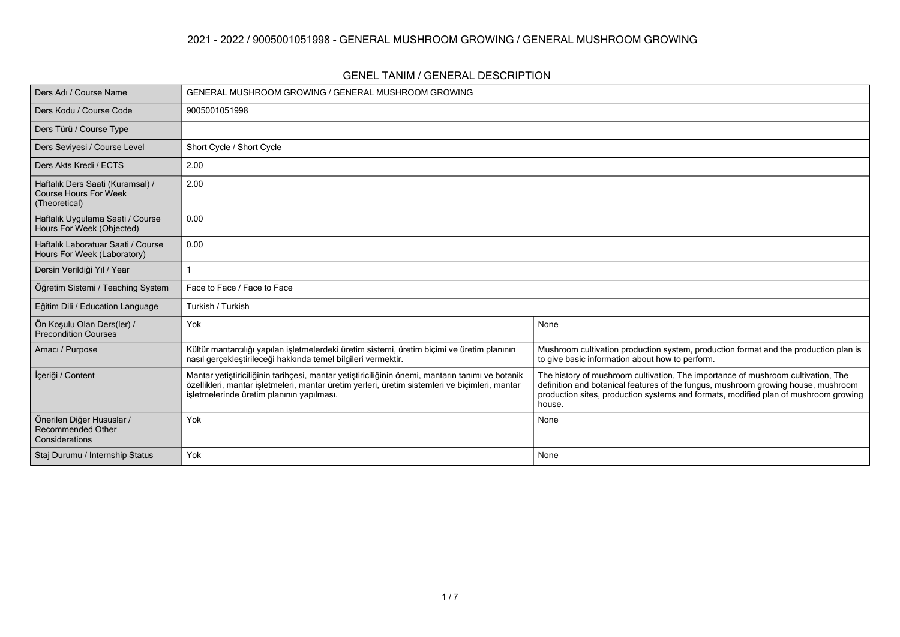### **2021 - 2022 / 9005001051998 - GENERAL MUSHROOM GROWING / GENERAL MUSHROOM GROWING**

#### **GENEL TANIM / GENERAL DESCRIPTION**

| Ders Adı / Course Name                                                            | GENERAL MUSHROOM GROWING / GENERAL MUSHROOM GROWING                                                                                                                                                                                             |                                                                                                                                                                                                                                                                        |  |  |  |  |  |  |  |
|-----------------------------------------------------------------------------------|-------------------------------------------------------------------------------------------------------------------------------------------------------------------------------------------------------------------------------------------------|------------------------------------------------------------------------------------------------------------------------------------------------------------------------------------------------------------------------------------------------------------------------|--|--|--|--|--|--|--|
| Ders Kodu / Course Code                                                           | 9005001051998                                                                                                                                                                                                                                   |                                                                                                                                                                                                                                                                        |  |  |  |  |  |  |  |
| Ders Türü / Course Type                                                           |                                                                                                                                                                                                                                                 |                                                                                                                                                                                                                                                                        |  |  |  |  |  |  |  |
| Ders Seviyesi / Course Level                                                      | Short Cycle / Short Cycle                                                                                                                                                                                                                       |                                                                                                                                                                                                                                                                        |  |  |  |  |  |  |  |
| Ders Akts Kredi / ECTS                                                            | 2.00                                                                                                                                                                                                                                            |                                                                                                                                                                                                                                                                        |  |  |  |  |  |  |  |
| Haftalık Ders Saati (Kuramsal) /<br><b>Course Hours For Week</b><br>(Theoretical) | 2.00                                                                                                                                                                                                                                            |                                                                                                                                                                                                                                                                        |  |  |  |  |  |  |  |
| Haftalık Uygulama Saati / Course<br>Hours For Week (Objected)                     | 0.00                                                                                                                                                                                                                                            |                                                                                                                                                                                                                                                                        |  |  |  |  |  |  |  |
| Haftalık Laboratuar Saati / Course<br>Hours For Week (Laboratory)                 | 0.00                                                                                                                                                                                                                                            |                                                                                                                                                                                                                                                                        |  |  |  |  |  |  |  |
| Dersin Verildiği Yıl / Year                                                       |                                                                                                                                                                                                                                                 |                                                                                                                                                                                                                                                                        |  |  |  |  |  |  |  |
| Öğretim Sistemi / Teaching System                                                 | Face to Face / Face to Face                                                                                                                                                                                                                     |                                                                                                                                                                                                                                                                        |  |  |  |  |  |  |  |
| Eğitim Dili / Education Language                                                  | Turkish / Turkish                                                                                                                                                                                                                               |                                                                                                                                                                                                                                                                        |  |  |  |  |  |  |  |
| Ön Koşulu Olan Ders(ler) /<br><b>Precondition Courses</b>                         | Yok                                                                                                                                                                                                                                             | None                                                                                                                                                                                                                                                                   |  |  |  |  |  |  |  |
| Amacı / Purpose                                                                   | Kültür mantarcılığı yapılan işletmelerdeki üretim sistemi, üretim biçimi ve üretim planının<br>nasıl gerçekleştirileceği hakkında temel bilgileri vermektir.                                                                                    | Mushroom cultivation production system, production format and the production plan is<br>to give basic information about how to perform.                                                                                                                                |  |  |  |  |  |  |  |
| İçeriği / Content                                                                 | Mantar yetiştiriciliğinin tarihçesi, mantar yetiştiriciliğinin önemi, mantarın tanımı ve botanik<br>özellikleri, mantar işletmeleri, mantar üretim yerleri, üretim sistemleri ve biçimleri, mantar<br>isletmelerinde üretim planının yapılması. | The history of mushroom cultivation, The importance of mushroom cultivation, The<br>definition and botanical features of the fungus, mushroom growing house, mushroom<br>production sites, production systems and formats, modified plan of mushroom growing<br>house. |  |  |  |  |  |  |  |
| Önerilen Diğer Hususlar /<br><b>Recommended Other</b><br>Considerations           | Yok                                                                                                                                                                                                                                             | None                                                                                                                                                                                                                                                                   |  |  |  |  |  |  |  |
| Staj Durumu / Internship Status                                                   | Yok                                                                                                                                                                                                                                             | None                                                                                                                                                                                                                                                                   |  |  |  |  |  |  |  |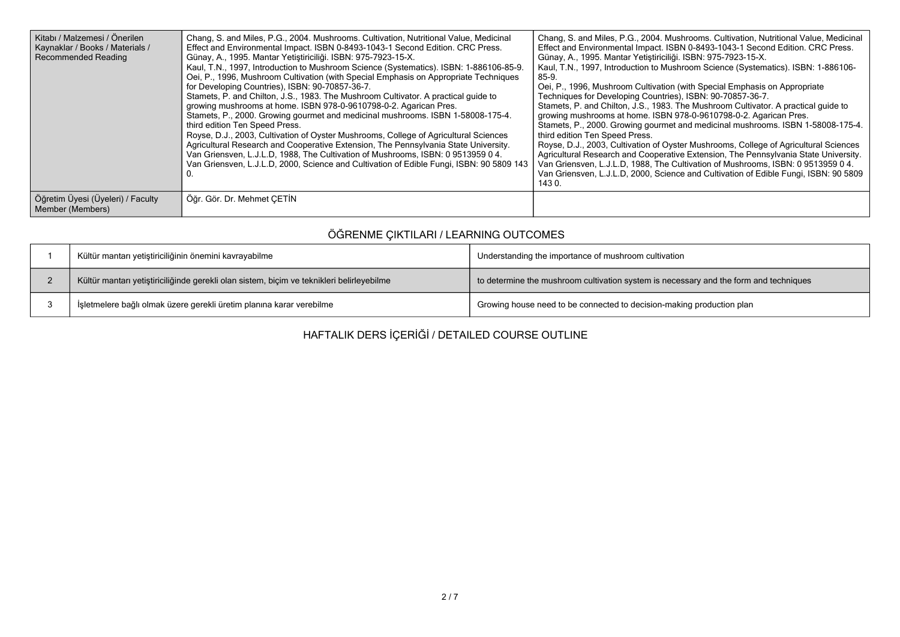| Kitabı / Malzemesi / Önerilen<br>Kaynaklar / Books / Materials /<br><b>Recommended Reading</b> | Chang, S. and Miles, P.G., 2004. Mushrooms. Cultivation, Nutritional Value, Medicinal<br>Effect and Environmental Impact. ISBN 0-8493-1043-1 Second Edition. CRC Press.<br>Günay, A., 1995. Mantar Yetiştiriciliği. ISBN: 975-7923-15-X.<br>Kaul, T.N., 1997, Introduction to Mushroom Science (Systematics). ISBN: 1-886106-85-9.<br>Oei, P., 1996, Mushroom Cultivation (with Special Emphasis on Appropriate Techniques<br>for Developing Countries), ISBN: 90-70857-36-7.<br>Stamets, P. and Chilton, J.S., 1983. The Mushroom Cultivator. A practical quide to<br>growing mushrooms at home. ISBN 978-0-9610798-0-2. Agarican Pres.<br>Stamets, P., 2000. Growing gourmet and medicinal mushrooms. ISBN 1-58008-175-4.<br>third edition Ten Speed Press.<br>Royse, D.J., 2003, Cultivation of Oyster Mushrooms, College of Agricultural Sciences<br>Agricultural Research and Cooperative Extension, The Pennsylvania State University.<br>Van Griensven, L.J.L.D. 1988. The Cultivation of Mushrooms, ISBN: 0 9513959 0 4.<br>Van Griensven, L.J.L.D, 2000, Science and Cultivation of Edible Fungi, ISBN: 90 5809 143 | Chang, S. and Miles, P.G., 2004. Mushrooms. Cultivation, Nutritional Value, Medicinal<br>Effect and Environmental Impact. ISBN 0-8493-1043-1 Second Edition. CRC Press.<br>Günay, A., 1995. Mantar Yetiştiriciliği. ISBN: 975-7923-15-X.<br>Kaul, T.N., 1997, Introduction to Mushroom Science (Systematics). ISBN: 1-886106-<br>$85-9.$<br>Oei, P., 1996, Mushroom Cultivation (with Special Emphasis on Appropriate<br>Techniques for Developing Countries), ISBN: 90-70857-36-7.<br>Stamets, P. and Chilton, J.S., 1983. The Mushroom Cultivator. A practical quide to<br>growing mushrooms at home. ISBN 978-0-9610798-0-2. Agarican Pres.<br>Stamets, P., 2000. Growing gourmet and medicinal mushrooms. ISBN 1-58008-175-4.<br>third edition Ten Speed Press.<br>Royse, D.J., 2003, Cultivation of Oyster Mushrooms, College of Agricultural Sciences<br>Agricultural Research and Cooperative Extension, The Pennsylvania State University.<br>Van Griensven, L.J.L.D, 1988, The Cultivation of Mushrooms, ISBN: 0 9513959 0 4.<br>Van Griensven, L.J.L.D, 2000, Science and Cultivation of Edible Fungi, ISBN: 90 5809<br>143 0. |
|------------------------------------------------------------------------------------------------|------------------------------------------------------------------------------------------------------------------------------------------------------------------------------------------------------------------------------------------------------------------------------------------------------------------------------------------------------------------------------------------------------------------------------------------------------------------------------------------------------------------------------------------------------------------------------------------------------------------------------------------------------------------------------------------------------------------------------------------------------------------------------------------------------------------------------------------------------------------------------------------------------------------------------------------------------------------------------------------------------------------------------------------------------------------------------------------------------------------------------|------------------------------------------------------------------------------------------------------------------------------------------------------------------------------------------------------------------------------------------------------------------------------------------------------------------------------------------------------------------------------------------------------------------------------------------------------------------------------------------------------------------------------------------------------------------------------------------------------------------------------------------------------------------------------------------------------------------------------------------------------------------------------------------------------------------------------------------------------------------------------------------------------------------------------------------------------------------------------------------------------------------------------------------------------------------------------------------------------------------------------------------|
| Öğretim Üyesi (Üyeleri) / Faculty<br>Member (Members)                                          | Öğr. Gör. Dr. Mehmet ÇETİN                                                                                                                                                                                                                                                                                                                                                                                                                                                                                                                                                                                                                                                                                                                                                                                                                                                                                                                                                                                                                                                                                                   |                                                                                                                                                                                                                                                                                                                                                                                                                                                                                                                                                                                                                                                                                                                                                                                                                                                                                                                                                                                                                                                                                                                                          |

# **ÖĞRENME ÇIKTILARI / LEARNING OUTCOMES**

| Kültür mantarı yetiştiriciliğinin önemini kavrayabilme                                    | Understanding the importance of mushroom cultivation                                  |
|-------------------------------------------------------------------------------------------|---------------------------------------------------------------------------------------|
| Kültür mantarı yetiştiriciliğinde gerekli olan sistem, biçim ve teknikleri belirleyebilme | to determine the mushroom cultivation system is necessary and the form and techniques |
| İşletmelere bağlı olmak üzere gerekli üretim planına karar verebilme                      | Growing house need to be connected to decision-making production plan                 |

**HAFTALIK DERS İÇERİĞİ / DETAILED COURSE OUTLINE**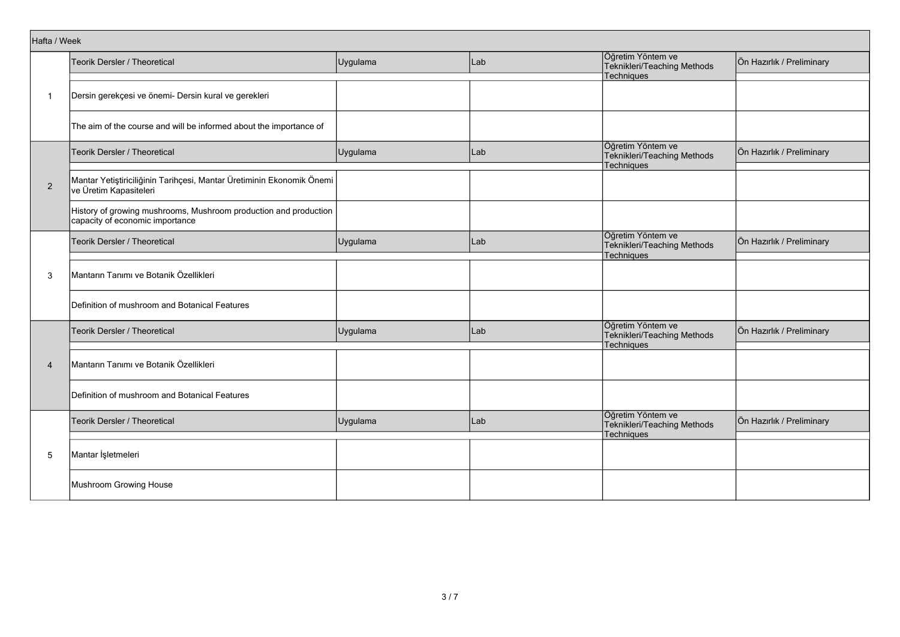|                | Hafta / Week                                                                                        |          |     |                                                                       |                           |  |  |  |
|----------------|-----------------------------------------------------------------------------------------------------|----------|-----|-----------------------------------------------------------------------|---------------------------|--|--|--|
|                | Teorik Dersler / Theoretical                                                                        | Uygulama | Lab | Öğretim Yöntem ve<br>Teknikleri/Teaching Methods                      | Ön Hazırlık / Preliminary |  |  |  |
| -1             | Dersin gerekçesi ve önemi- Dersin kural ve gerekleri                                                |          |     | Techniques                                                            |                           |  |  |  |
|                |                                                                                                     |          |     |                                                                       |                           |  |  |  |
|                | The aim of the course and will be informed about the importance of                                  |          |     |                                                                       |                           |  |  |  |
| $\overline{2}$ | Teorik Dersler / Theoretical                                                                        | Uygulama | Lab | Öğretim Yöntem ve<br>Teknikleri/Teaching Methods<br>Techniques        | Ön Hazırlık / Preliminary |  |  |  |
|                | Mantar Yetiştiriciliğinin Tarihçesi, Mantar Üretiminin Ekonomik Önemi<br>ve Üretim Kapasiteleri     |          |     |                                                                       |                           |  |  |  |
|                | History of growing mushrooms, Mushroom production and production<br>capacity of economic importance |          |     |                                                                       |                           |  |  |  |
|                | Teorik Dersler / Theoretical                                                                        | Uygulama | Lab | Öğretim Yöntem ve<br>Teknikleri/Teaching Methods<br>Techniques        | Ön Hazırlık / Preliminary |  |  |  |
| 3              | Mantarın Tanımı ve Botanik Özellikleri                                                              |          |     |                                                                       |                           |  |  |  |
|                | Definition of mushroom and Botanical Features                                                       |          |     |                                                                       |                           |  |  |  |
|                | <b>Teorik Dersler / Theoretical</b>                                                                 | Uygulama | Lab | Öğretim Yöntem ve<br>Teknikleri/Teaching Methods<br><b>Techniques</b> | Ön Hazırlık / Preliminary |  |  |  |
| $\overline{4}$ | Mantarın Tanımı ve Botanik Özellikleri                                                              |          |     |                                                                       |                           |  |  |  |
|                | Definition of mushroom and Botanical Features                                                       |          |     |                                                                       |                           |  |  |  |
|                | Teorik Dersler / Theoretical                                                                        | Uygulama | Lab | Öğretim Yöntem ve<br>Teknikleri/Teaching Methods<br>Techniques        | Ön Hazırlık / Preliminary |  |  |  |
| 5              | Mantar İşletmeleri                                                                                  |          |     |                                                                       |                           |  |  |  |
|                | Mushroom Growing House                                                                              |          |     |                                                                       |                           |  |  |  |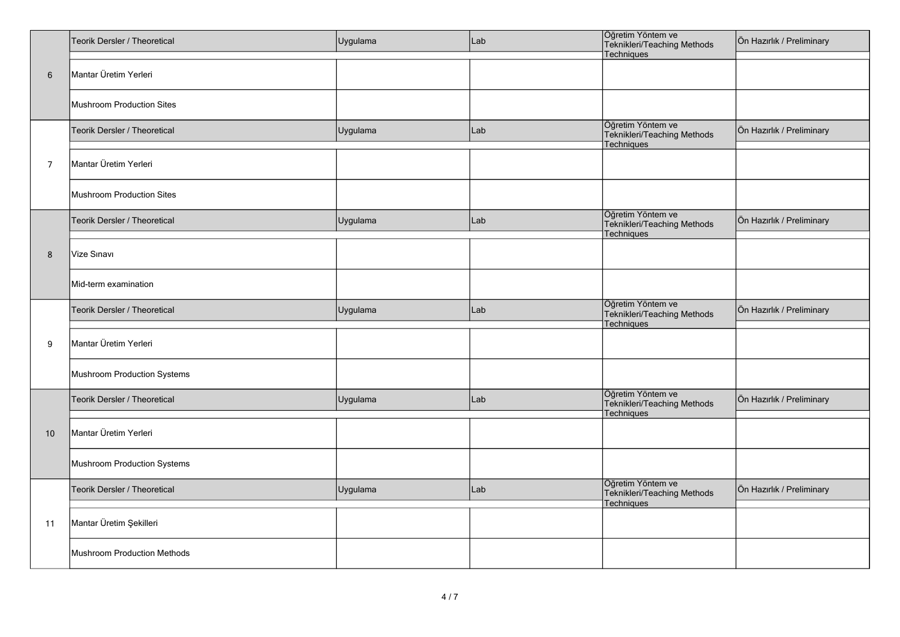|                                      | Teorik Dersler / Theoretical     | Uygulama<br>Lab |     | Öğretim Yöntem ve<br>Teknikleri/Teaching Methods<br>Techniques | Ön Hazırlık / Preliminary |
|--------------------------------------|----------------------------------|-----------------|-----|----------------------------------------------------------------|---------------------------|
| 6                                    | Mantar Üretim Yerleri            |                 |     |                                                                |                           |
| $\overline{7}$<br>8<br>9<br>10<br>11 | <b>Mushroom Production Sites</b> |                 |     |                                                                |                           |
|                                      | Teorik Dersler / Theoretical     | Uygulama        | Lab | Öğretim Yöntem ve<br>Teknikleri/Teaching Methods<br>Techniques | Ön Hazırlık / Preliminary |
|                                      | Mantar Üretim Yerleri            |                 |     |                                                                |                           |
|                                      | <b>Mushroom Production Sites</b> |                 |     |                                                                |                           |
|                                      | Teorik Dersler / Theoretical     | Uygulama        | Lab | Öğretim Yöntem ve<br>Teknikleri/Teaching Methods<br>Techniques | Ön Hazırlık / Preliminary |
|                                      | Vize Sınavı                      |                 |     |                                                                |                           |
|                                      | Mid-term examination             |                 |     |                                                                |                           |
|                                      | Teorik Dersler / Theoretical     | Uygulama        | Lab | Öğretim Yöntem ve<br>Teknikleri/Teaching Methods<br>Techniques | Ön Hazırlık / Preliminary |
|                                      | Mantar Üretim Yerleri            |                 |     |                                                                |                           |
|                                      | Mushroom Production Systems      |                 |     |                                                                |                           |
|                                      | Teorik Dersler / Theoretical     | Uygulama        | Lab | Öğretim Yöntem ve<br>Teknikleri/Teaching Methods<br>Techniques | Ön Hazırlık / Preliminary |
|                                      | Mantar Üretim Yerleri            |                 |     |                                                                |                           |
|                                      | Mushroom Production Systems      |                 |     |                                                                |                           |
|                                      | Teorik Dersler / Theoretical     | Uygulama        | Lab | Öğretim Yöntem ve<br>Teknikleri/Teaching Methods<br>Techniques | Ön Hazırlık / Preliminary |
|                                      | Mantar Üretim Şekilleri          |                 |     |                                                                |                           |
|                                      | Mushroom Production Methods      |                 |     |                                                                |                           |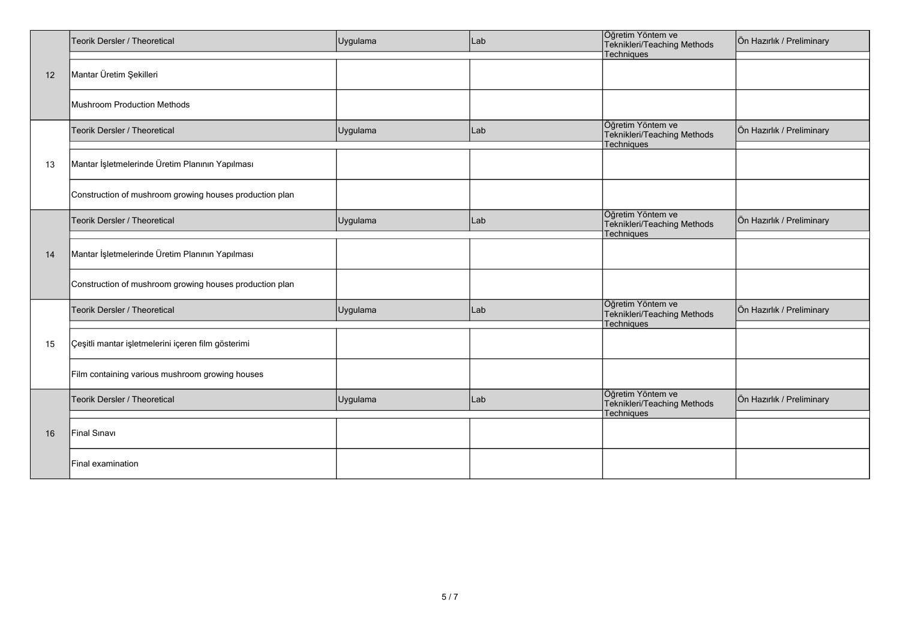|    | Teorik Dersler / Theoretical                            | Uygulama | Lab | Öğretim Yöntem ve<br>Teknikleri/Teaching Methods                      | Ön Hazırlık / Preliminary |
|----|---------------------------------------------------------|----------|-----|-----------------------------------------------------------------------|---------------------------|
|    |                                                         |          |     | Techniques                                                            |                           |
| 12 | Mantar Üretim Şekilleri                                 |          |     |                                                                       |                           |
|    | Mushroom Production Methods                             |          |     |                                                                       |                           |
|    | Teorik Dersler / Theoretical                            | Uygulama | Lab | Öğretim Yöntem ve<br>Teknikleri/Teaching Methods<br>Techniques        | Ön Hazırlık / Preliminary |
| 13 | Mantar İşletmelerinde Üretim Planının Yapılması         |          |     |                                                                       |                           |
|    | Construction of mushroom growing houses production plan |          |     |                                                                       |                           |
|    | Teorik Dersler / Theoretical                            | Uygulama | Lab | Öğretim Yöntem ve<br>Teknikleri/Teaching Methods<br>Techniques        | Ön Hazırlık / Preliminary |
| 14 | Mantar İşletmelerinde Üretim Planının Yapılması         |          |     |                                                                       |                           |
|    | Construction of mushroom growing houses production plan |          |     |                                                                       |                           |
|    | Teorik Dersler / Theoretical                            | Uygulama | Lab | Öğretim Yöntem ve<br>Teknikleri/Teaching Methods<br><b>Techniques</b> | Ön Hazırlık / Preliminary |
| 15 | Çeşitli mantar işletmelerini içeren film gösterimi      |          |     |                                                                       |                           |
|    | Film containing various mushroom growing houses         |          |     |                                                                       |                           |
|    | Teorik Dersler / Theoretical                            | Uygulama | Lab | Öğretim Yöntem ve<br>Teknikleri/Teaching Methods<br>Techniques        | Ön Hazırlık / Preliminary |
| 16 | Final Sinavi                                            |          |     |                                                                       |                           |
|    | Final examination                                       |          |     |                                                                       |                           |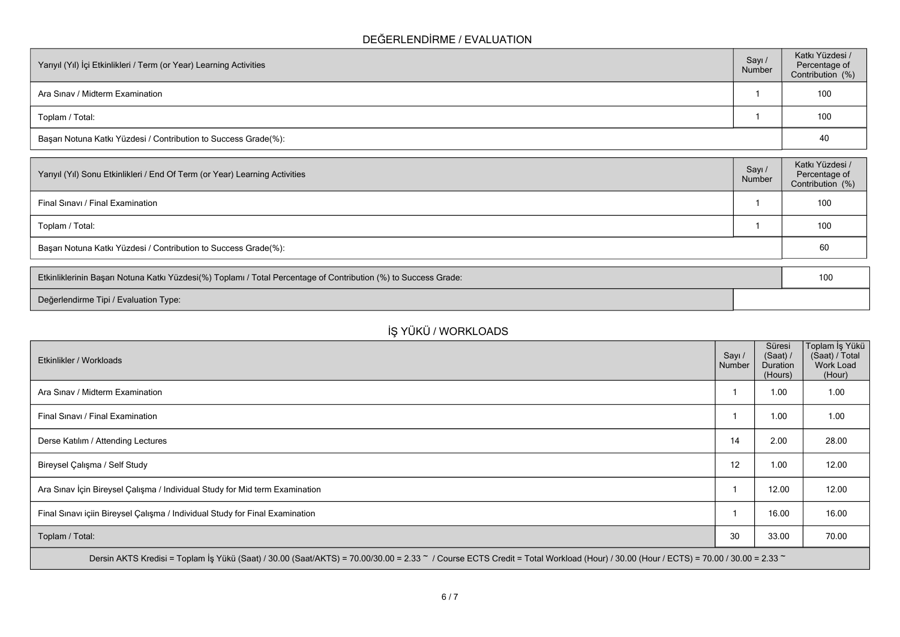### **DEĞERLENDİRME / EVALUATION**

| Yarıyıl (Yıl) İçi Etkinlikleri / Term (or Year) Learning Activities | Sayı/<br>Number | Katkı Yüzdesi /<br>Percentage of<br>Contribution (%) |
|---------------------------------------------------------------------|-----------------|------------------------------------------------------|
| Ara Sinav / Midterm Examination                                     |                 | 100                                                  |
| Toplam / Total:                                                     |                 | 100                                                  |
| Başarı Notuna Katkı Yüzdesi / Contribution to Success Grade(%):     |                 | 40                                                   |

| Sayı/<br>Number                                                 | Katkı Yüzdesi /<br>Percentage of<br>Contribution (%) |  |  |  |
|-----------------------------------------------------------------|------------------------------------------------------|--|--|--|
|                                                                 | 100                                                  |  |  |  |
|                                                                 | 100                                                  |  |  |  |
| Başarı Notuna Katkı Yüzdesi / Contribution to Success Grade(%): |                                                      |  |  |  |
|                                                                 |                                                      |  |  |  |

| Etkinliklerinin Başarı Notuna Katkı Yüzdesi(%) Toplamı / Total Percentage of Contribution (%) to Success Grade: |  |  |
|-----------------------------------------------------------------------------------------------------------------|--|--|
| Değerlendirme Tipi / Evaluation Type:                                                                           |  |  |

# **İŞ YÜKÜ / WORKLOADS**

| Etkinlikler / Workloads                                                                                                                                                            | Sayı /<br>Number | Süresi<br>(Saat) /<br><b>Duration</b><br>(Hours) | Toplam İş Yükü<br>(Saat) / Total<br>Work Load<br>(Hour) |  |  |  |
|------------------------------------------------------------------------------------------------------------------------------------------------------------------------------------|------------------|--------------------------------------------------|---------------------------------------------------------|--|--|--|
| Ara Sinav / Midterm Examination                                                                                                                                                    |                  | 1.00                                             | 1.00                                                    |  |  |  |
| Final Sinavi / Final Examination                                                                                                                                                   |                  | 1.00                                             | 1.00                                                    |  |  |  |
| Derse Katılım / Attending Lectures                                                                                                                                                 | 14               | 2.00                                             | 28.00                                                   |  |  |  |
| Bireysel Çalışma / Self Study                                                                                                                                                      | 12               | 1.00                                             | 12.00                                                   |  |  |  |
| Ara Sınav İçin Bireysel Çalışma / Individual Study for Mid term Examination                                                                                                        |                  | 12.00                                            | 12.00                                                   |  |  |  |
| Final Sinavi içiin Bireysel Çalışma / Individual Study for Final Examination                                                                                                       |                  | 16.00                                            | 16.00                                                   |  |  |  |
| Toplam / Total:                                                                                                                                                                    | 30               | 33.00                                            | 70.00                                                   |  |  |  |
| Dersin AKTS Kredisi = Toplam İş Yükü (Saat) / 30.00 (Saat/AKTS) = 70.00/30.00 = 2.33 ~ / Course ECTS Credit = Total Workload (Hour) / 30.00 (Hour / ECTS) = 70.00 / 30.00 = 2.33 ~ |                  |                                                  |                                                         |  |  |  |